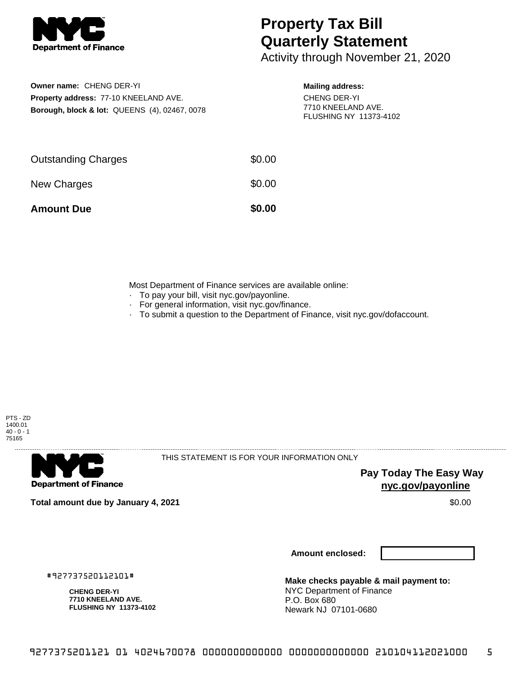

## **Property Tax Bill Quarterly Statement**

Activity through November 21, 2020

**Owner name:** CHENG DER-YI **Property address:** 77-10 KNEELAND AVE. **Borough, block & lot:** QUEENS (4), 02467, 0078

## **Mailing address:**

CHENG DER-YI 7710 KNEELAND AVE. FLUSHING NY 11373-4102

| <b>Amount Due</b>          | \$0.00 |
|----------------------------|--------|
| New Charges                | \$0.00 |
| <b>Outstanding Charges</b> | \$0.00 |

Most Department of Finance services are available online:

- · To pay your bill, visit nyc.gov/payonline.
- For general information, visit nyc.gov/finance.
- · To submit a question to the Department of Finance, visit nyc.gov/dofaccount.





THIS STATEMENT IS FOR YOUR INFORMATION ONLY

**Pay Today The Easy Way nyc.gov/payonline**

**Total amount due by January 4, 2021** \$0.00

**Amount enclosed:**

#927737520112101#

**CHENG DER-YI 7710 KNEELAND AVE. FLUSHING NY 11373-4102**

**Make checks payable & mail payment to:** NYC Department of Finance P.O. Box 680 Newark NJ 07101-0680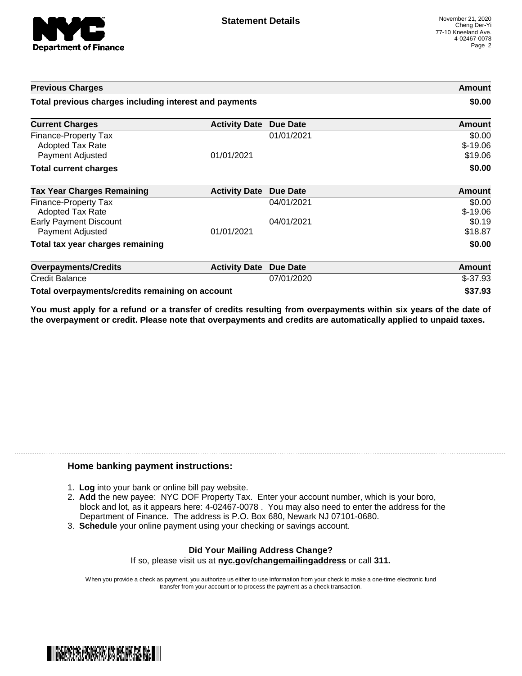

| <b>Previous Charges</b>                                             |                      |                 | Amount                         |
|---------------------------------------------------------------------|----------------------|-----------------|--------------------------------|
| Total previous charges including interest and payments              |                      |                 | \$0.00                         |
| <b>Current Charges</b>                                              | <b>Activity Date</b> | <b>Due Date</b> | Amount                         |
| Finance-Property Tax<br><b>Adopted Tax Rate</b><br>Payment Adjusted | 01/01/2021           | 01/01/2021      | \$0.00<br>$$-19.06$<br>\$19.06 |
| <b>Total current charges</b>                                        |                      |                 | \$0.00                         |
| <b>Tax Year Charges Remaining</b>                                   | <b>Activity Date</b> | Due Date        | Amount                         |
| Finance-Property Tax<br>Adopted Tax Rate                            |                      | 04/01/2021      | \$0.00<br>$$-19.06$            |
| <b>Early Payment Discount</b><br>Payment Adjusted                   | 01/01/2021           | 04/01/2021      | \$0.19<br>\$18.87              |
| Total tax year charges remaining                                    |                      |                 | \$0.00                         |
| <b>Overpayments/Credits</b>                                         | <b>Activity Date</b> | <b>Due Date</b> | Amount                         |
| <b>Credit Balance</b>                                               |                      | 07/01/2020      | $$-37.93$                      |
| Total overpayments/credits remaining on account                     |                      |                 | \$37.93                        |

You must apply for a refund or a transfer of credits resulting from overpayments within six years of the date of **the overpayment or credit. Please note that overpayments and credits are automatically applied to unpaid taxes.**

## **Home banking payment instructions:**

- 1. **Log** into your bank or online bill pay website.
- 2. **Add** the new payee: NYC DOF Property Tax. Enter your account number, which is your boro, block and lot, as it appears here: 4-02467-0078 . You may also need to enter the address for the Department of Finance. The address is P.O. Box 680, Newark NJ 07101-0680.
- 3. **Schedule** your online payment using your checking or savings account.

## **Did Your Mailing Address Change?** If so, please visit us at **nyc.gov/changemailingaddress** or call **311.**

When you provide a check as payment, you authorize us either to use information from your check to make a one-time electronic fund transfer from your account or to process the payment as a check transaction.